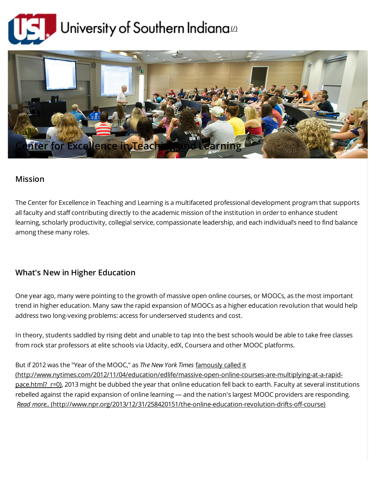



## Mission

The Center for Excellence in Teaching and Learning is a multifaceted professional development program that supports all faculty and staff contributing directly to the academic mission of the institution in order to enhance student learning, scholarly productivity, collegial service, compassionate leadership, and each individual's need to find balance among these many roles.

## What's New in Higher Education

One year ago, many were pointing to the growth of massive open online courses, or MOOCs, as the most important trend in higher education. Many saw the rapid expansion of MOOCs as a higher education revolution that would help address two long-vexing problems: access for underserved students and cost.

In theory, students saddled by rising debt and unable to tap into the best schools would be able to take free classes from rock star professors at elite schools via Udacity, edX, Coursera and other MOOC platforms.

## But if 2012 was the "Year of the MOOC," as The New York Times famously called it

[\(http://www.nytimes.com/2012/11/04/education/edlife/massive-open-online-courses-are-multiplying-at-a-rapid](http://www.nytimes.com/2012/11/04/education/edlife/massive-open-online-courses-are-multiplying-at-a-rapid-pace.html?_r=0)pace.html? r=0), 2013 might be dubbed the year that online education fell back to earth. Faculty at several institutions rebelled against the rapid expansion of online learning — and the nation's largest MOOC providers are responding. Read more.. [\(http://www.npr.org/2013/12/31/258420151/the-online-education-revolution-drifts-off-course\)](http://www.npr.org/2013/12/31/258420151/the-online-education-revolution-drifts-off-course)